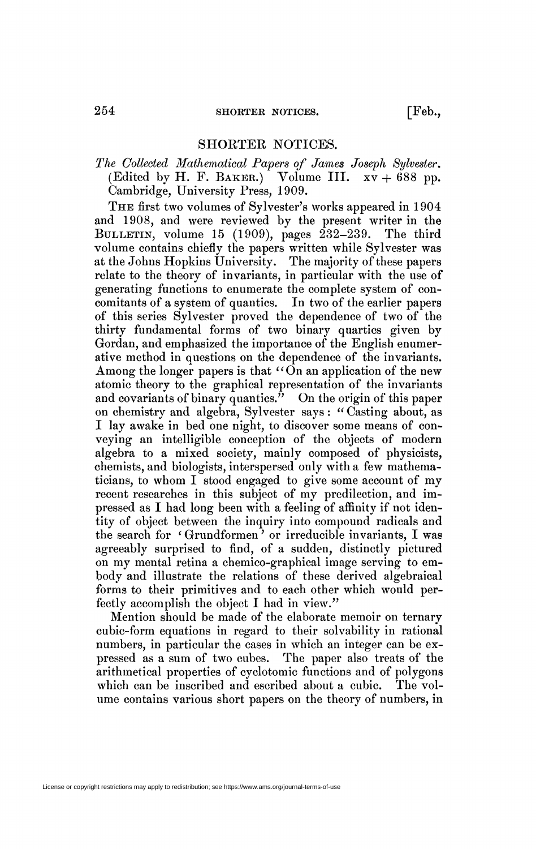## SHORTER NOTICES.

*The Collected Mathematical Papers of James Joseph Sylvester,*  (Edited by H. F. BAKER.) Volume III.  $xy + 688$  pp. Cambridge, University Press, 1909.

THE first two volumes of Sylvester's works appeared in 1904 and 1908, and were reviewed by the present writer in the BULLETIN, volume 15 (1909), pages  $232-239$ . The third volume contains chiefly the papers written while Sylvester was at the Johns Hopkins University. The majority of these papers relate to the theory of invariants, in particular with the use of generating functions to enumerate the complete system of concomitants of a system of quantics. In two of the earlier papers of this series Sylvester proved the dependence of two of the thirty fundamental forms of two binary quartics given by Gordan, and emphasized the importance of the English enumerative method in questions on the dependence of the invariants. Among the longer papers is that " $\hat{O}n$  an application of the new atomic theory to the graphical representation of the invariants and covariants of binary quantics.<sup> $\ddot{v}$ </sup> On the origin of this paper on chemistry and algebra, Sylvester says : " Casting about, as I lay awake in bed one night, to discover some means of conveying an intelligible conception of the objects of modern algebra to a mixed society, mainly composed of physicists, chemists, and biologists, interspersed only with a few mathematicians, to whom I stood engaged to give some account of my recent researches in this subject of my predilection, and impressed as I had long been with a feeling of affinity if not identity of object between the inquiry into compound radicals and the search for 'Grundformen' or irreducible invariants, I was agreeably surprised to find, of a sudden, distinctly pictured on my mental retina a chemico-graphical image serving to embody and illustrate the relations of these derived algebraical forms to their primitives and to each other which would perfectly accomplish the object I had in view."

Mention should be made of the elaborate memoir on ternary cubic-form equations in regard to their solvability in rational numbers, in particular the cases in which an integer can be expressed as a sum of two cubes. The paper also treats of the arithmetical properties of cyclotomic functions and of polygons which can be inscribed and escribed about a cubic. The volume contains various short papers on the theory of numbers, in